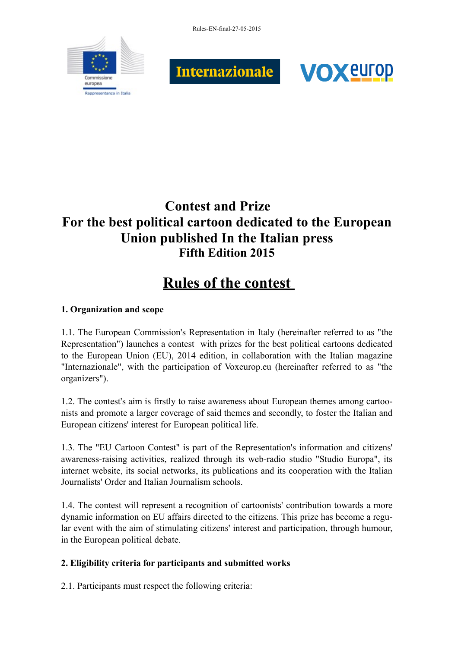Rules-EN-final-27-05-2015







# **Contest and Prize For the best political cartoon dedicated to the European Union published In the Italian press Fifth Edition 2015**

# **Rules of the contest**

## **1. Organization and scope**

1.1. The European Commission's Representation in Italy (hereinafter referred to as "the Representation") launches a contest with prizes for the best political cartoons dedicated to the European Union (EU), 2014 edition, in collaboration with the Italian magazine "Internazionale", with the participation of Voxeurop.eu (hereinafter referred to as "the organizers").

1.2. The contest's aim is firstly to raise awareness about European themes among cartoonists and promote a larger coverage of said themes and secondly, to foster the Italian and European citizens' interest for European political life.

1.3. The "EU Cartoon Contest" is part of the Representation's information and citizens' awareness-raising activities, realized through its web-radio studio "Studio Europa", its internet website, its social networks, its publications and its cooperation with the Italian Journalists' Order and Italian Journalism schools.

1.4. The contest will represent a recognition of cartoonists' contribution towards a more dynamic information on EU affairs directed to the citizens. This prize has become a regular event with the aim of stimulating citizens' interest and participation, through humour, in the European political debate.

## **2. Eligibility criteria for participants and submitted works**

2.1. Participants must respect the following criteria: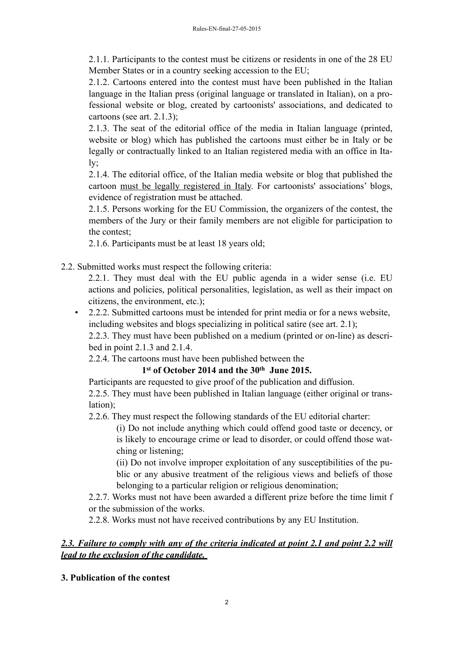2.1.1. Participants to the contest must be citizens or residents in one of the 28 EU Member States or in a country seeking accession to the EU;

2.1.2. Cartoons entered into the contest must have been published in the Italian language in the Italian press (original language or translated in Italian), on a professional website or blog, created by cartoonists' associations, and dedicated to cartoons (see art. 2.1.3);

2.1.3. The seat of the editorial office of the media in Italian language (printed, website or blog) which has published the cartoons must either be in Italy or be legally or contractually linked to an Italian registered media with an office in Italy;

2.1.4. The editorial office, of the Italian media website or blog that published the cartoon must be legally registered in Italy. For cartoonists' associations' blogs, evidence of registration must be attached.

2.1.5. Persons working for the EU Commission, the organizers of the contest, the members of the Jury or their family members are not eligible for participation to the contest;

2.1.6. Participants must be at least 18 years old;

2.2. Submitted works must respect the following criteria:

2.2.1. They must deal with the EU public agenda in a wider sense (i.e. EU actions and policies, political personalities, legislation, as well as their impact on citizens, the environment, etc.);

• 2.2.2. Submitted cartoons must be intended for print media or for a news website, including websites and blogs specializing in political satire (see art. 2.1);

2.2.3. They must have been published on a medium (printed or on-line) as described in point 2.1.3 and 2.1.4.

2.2.4. The cartoons must have been published between the

## **1st of October 2014 and the 30th June 2015.**

Participants are requested to give proof of the publication and diffusion. 2.2.5. They must have been published in Italian language (either original or translation);

2.2.6. They must respect the following standards of the EU editorial charter:

(i) Do not include anything which could offend good taste or decency, or is likely to encourage crime or lead to disorder, or could offend those watching or listening;

(ii) Do not involve improper exploitation of any susceptibilities of the public or any abusive treatment of the religious views and beliefs of those belonging to a particular religion or religious denomination;

2.2.7. Works must not have been awarded a different prize before the time limit f or the submission of the works.

2.2.8. Works must not have received contributions by any EU Institution.

#### 2.3. Failure to comply with any of the criteria indicated at point 2.1 and point 2.2 will *lead to the exclusion of the candidate.*

#### **3. Publication of the contest**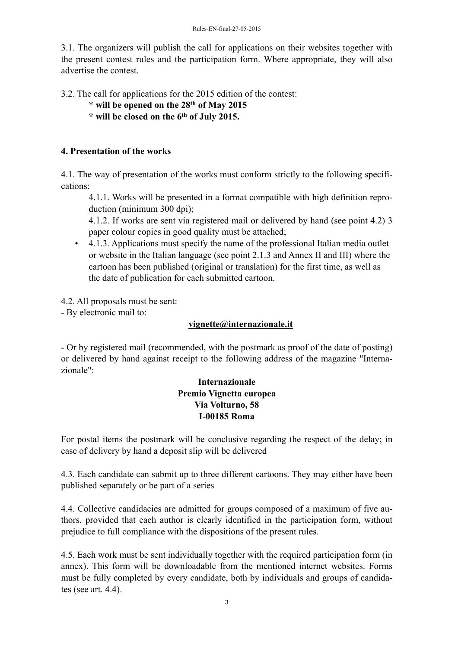3.1. The organizers will publish the call for applications on their websites together with the present contest rules and the participation form. Where appropriate, they will also advertise the contest.

3.2. The call for applications for the 2015 edition of the contest:

- \* **will be opened on the 28th of May 2015**
- **\* will be closed on the 6th of July 2015.**

#### **4. Presentation of the works**

4.1. The way of presentation of the works must conform strictly to the following specifications:

4.1.1. Works will be presented in a format compatible with high definition reproduction (minimum 300 dpi);

4.1.2. If works are sent via registered mail or delivered by hand (see point 4.2) 3 paper colour copies in good quality must be attached;

• 4.1.3. Applications must specify the name of the professional Italian media outlet or website in the Italian language (see point 2.1.3 and Annex II and III) where the cartoon has been published (original or translation) for the first time, as well as the date of publication for each submitted cartoon.

4.2. All proposals must be sent:

- By electronic mail to:

#### **[vignette@internazionale.it](mailto:vignette@internazionale.it)**

- Or by registered mail (recommended, with the postmark as proof of the date of posting) or delivered by hand against receipt to the following address of the magazine "Internazionale":

#### **Internazionale Premio Vignetta europea Via Volturno, 58 I-00185 Roma**

For postal items the postmark will be conclusive regarding the respect of the delay; in case of delivery by hand a deposit slip will be delivered

4.3. Each candidate can submit up to three different cartoons. They may either have been published separately or be part of a series

4.4. Collective candidacies are admitted for groups composed of a maximum of five authors, provided that each author is clearly identified in the participation form, without prejudice to full compliance with the dispositions of the present rules.

4.5. Each work must be sent individually together with the required participation form (in annex). This form will be downloadable from the mentioned internet websites. Forms must be fully completed by every candidate, both by individuals and groups of candidates (see art. 4.4).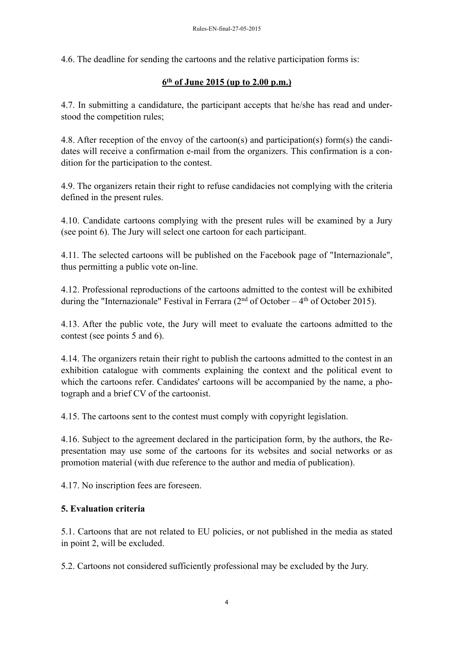4.6. The deadline for sending the cartoons and the relative participation forms is:

#### **6th of June 2015 (up to 2.00 p.m.)**

4.7. In submitting a candidature, the participant accepts that he/she has read and understood the competition rules;

4.8. After reception of the envoy of the cartoon(s) and participation(s) form(s) the candidates will receive a confirmation e-mail from the organizers. This confirmation is a condition for the participation to the contest.

4.9. The organizers retain their right to refuse candidacies not complying with the criteria defined in the present rules.

4.10. Candidate cartoons complying with the present rules will be examined by a Jury (see point 6). The Jury will select one cartoon for each participant.

4.11. The selected cartoons will be published on the Facebook page of "Internazionale", thus permitting a public vote on-line.

4.12. Professional reproductions of the cartoons admitted to the contest will be exhibited during the "Internazionale" Festival in Ferrara ( $2<sup>nd</sup>$  of October –  $4<sup>th</sup>$  of October 2015).

4.13. After the public vote, the Jury will meet to evaluate the cartoons admitted to the contest (see points 5 and 6).

4.14. The organizers retain their right to publish the cartoons admitted to the contest in an exhibition catalogue with comments explaining the context and the political event to which the cartoons refer. Candidates' cartoons will be accompanied by the name, a photograph and a brief CV of the cartoonist.

4.15. The cartoons sent to the contest must comply with copyright legislation.

4.16. Subject to the agreement declared in the participation form, by the authors, the Representation may use some of the cartoons for its websites and social networks or as promotion material (with due reference to the author and media of publication).

4.17. No inscription fees are foreseen.

#### **5. Evaluation criteria**

5.1. Cartoons that are not related to EU policies, or not published in the media as stated in point 2, will be excluded.

5.2. Cartoons not considered sufficiently professional may be excluded by the Jury.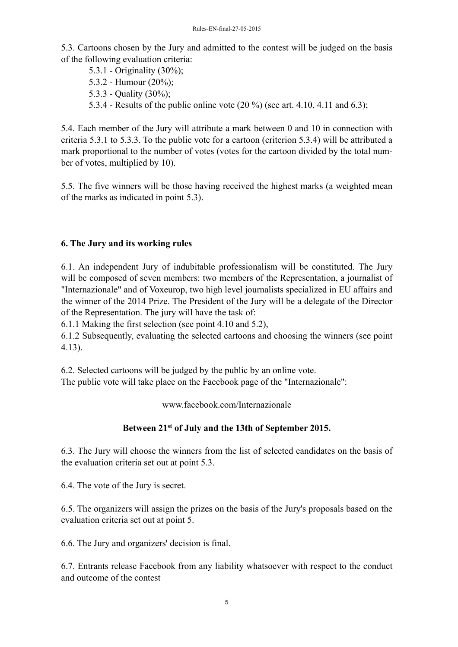5.3. Cartoons chosen by the Jury and admitted to the contest will be judged on the basis of the following evaluation criteria:

5.3.1 - Originality (30%); 5.3.2 - Humour (20%); 5.3.3 - Quality (30%);

5.3.4 - Results of the public online vote (20 %) (see art. 4.10, 4.11 and 6.3);

5.4. Each member of the Jury will attribute a mark between 0 and 10 in connection with criteria 5.3.1 to 5.3.3. To the public vote for a cartoon (criterion 5.3.4) will be attributed a mark proportional to the number of votes (votes for the cartoon divided by the total number of votes, multiplied by 10).

5.5. The five winners will be those having received the highest marks (a weighted mean of the marks as indicated in point 5.3).

#### **6. The Jury and its working rules**

6.1. An independent Jury of indubitable professionalism will be constituted. The Jury will be composed of seven members: two members of the Representation, a journalist of "Internazionale" and of Voxeurop, two high level journalists specialized in EU affairs and the winner of the 2014 Prize. The President of the Jury will be a delegate of the Director of the Representation. The jury will have the task of:

6.1.1 Making the first selection (see point 4.10 and 5.2),

6.1.2 Subsequently, evaluating the selected cartoons and choosing the winners (see point 4.13).

6.2. Selected cartoons will be judged by the public by an online vote.

The public vote will take place on the Facebook page of the "Internazionale":

www.facebook.com/Internazionale

#### **Between 21st of July and the 13th of September 2015.**

6.3. The Jury will choose the winners from the list of selected candidates on the basis of the evaluation criteria set out at point 5.3.

6.4. The vote of the Jury is secret.

6.5. The organizers will assign the prizes on the basis of the Jury's proposals based on the evaluation criteria set out at point 5.

6.6. The Jury and organizers' decision is final.

6.7. Entrants release Facebook from any liability whatsoever with respect to the conduct and outcome of the contest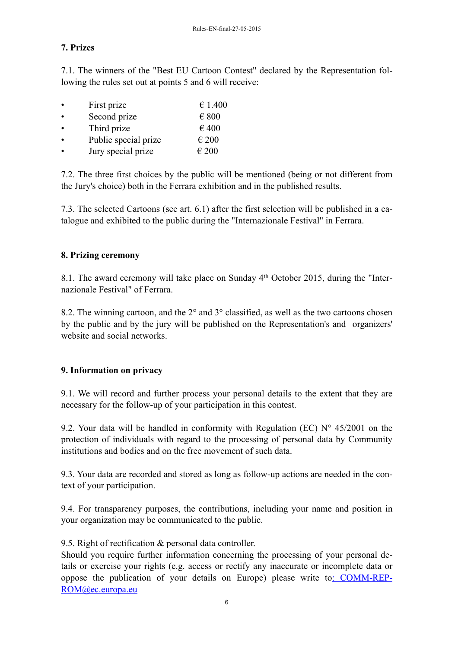#### **7. Prizes**

7.1. The winners of the "Best EU Cartoon Contest" declared by the Representation following the rules set out at points 5 and 6 will receive:

| $\bullet$ | First prize          | € 1.400        |
|-----------|----------------------|----------------|
| $\bullet$ | Second prize         | $\epsilon$ 800 |
| $\bullet$ | Third prize          | €400           |
| $\bullet$ | Public special prize | $\epsilon$ 200 |
| $\bullet$ | Jury special prize   | $\epsilon$ 200 |

7.2. The three first choices by the public will be mentioned (being or not different from the Jury's choice) both in the Ferrara exhibition and in the published results.

7.3. The selected Cartoons (see art. 6.1) after the first selection will be published in a catalogue and exhibited to the public during the "Internazionale Festival" in Ferrara.

#### **8. Prizing ceremony**

8.1. The award ceremony will take place on Sunday 4th October 2015, during the "Internazionale Festival" of Ferrara.

8.2. The winning cartoon, and the 2° and 3° classified, as well as the two cartoons chosen by the public and by the jury will be published on the Representation's and organizers' website and social networks.

#### **9. Information on privacy**

9.1. We will record and further process your personal details to the extent that they are necessary for the follow-up of your participation in this contest.

9.2. Your data will be handled in conformity with Regulation (EC)  $N^{\circ}$  45/2001 on the protection of individuals with regard to the processing of personal data by Community institutions and bodies and on the free movement of such data.

9.3. Your data are recorded and stored as long as follow-up actions are needed in the context of your participation.

9.4. For transparency purposes, the contributions, including your name and position in your organization may be communicated to the public.

9.5. Right of rectification & personal data controller.

Should you require further information concerning the processing of your personal details or exercise your rights (e.g. access or rectify any inaccurate or incomplete data or [oppose the publication of your details on Europe\) please write to: COMM-REP-](mailto::%25252520comm-rep-rom@ec.europa.eu)ROM@ec.europa.eu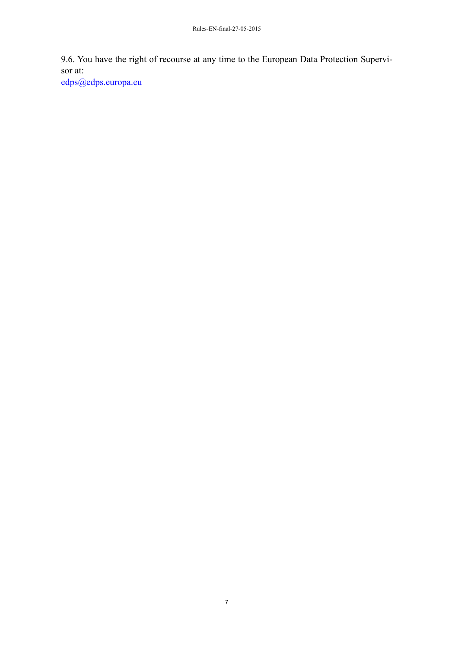9.6. You have the right of recourse at any time to the European Data Protection Supervisor at:

edps@edps.europa.eu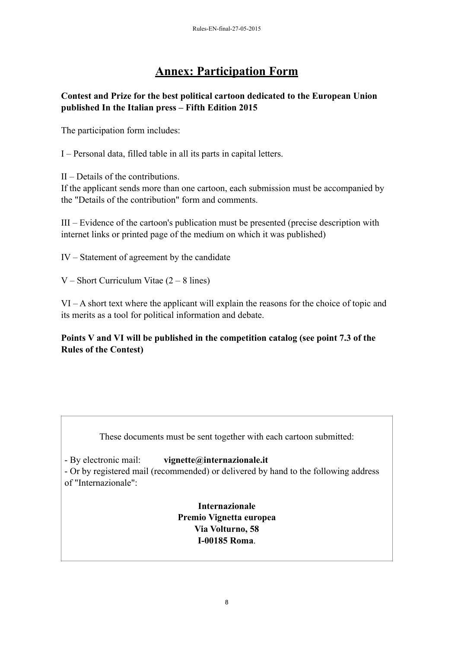# **Annex: Participation Form**

#### **Contest and Prize for the best political cartoon dedicated to the European Union published In the Italian press – Fifth Edition 2015**

The participation form includes:

I – Personal data, filled table in all its parts in capital letters.

II – Details of the contributions.

If the applicant sends more than one cartoon, each submission must be accompanied by the "Details of the contribution" form and comments.

III – Evidence of the cartoon's publication must be presented (precise description with internet links or printed page of the medium on which it was published)

IV – Statement of agreement by the candidate

V – Short Curriculum Vitae  $(2 - 8)$  lines)

VI – A short text where the applicant will explain the reasons for the choice of topic and its merits as a tool for political information and debate.

#### **Points V and VI will be published in the competition catalog (see point 7.3 of the Rules of the Contest)**

These documents must be sent together with each cartoon submitted:

- By electronic mail: **vignette@internazionale.it**

- Or by registered mail (recommended) or delivered by hand to the following address of "Internazionale":

> **Internazionale Premio Vignetta europea Via Volturno, 58 I-00185 Roma**.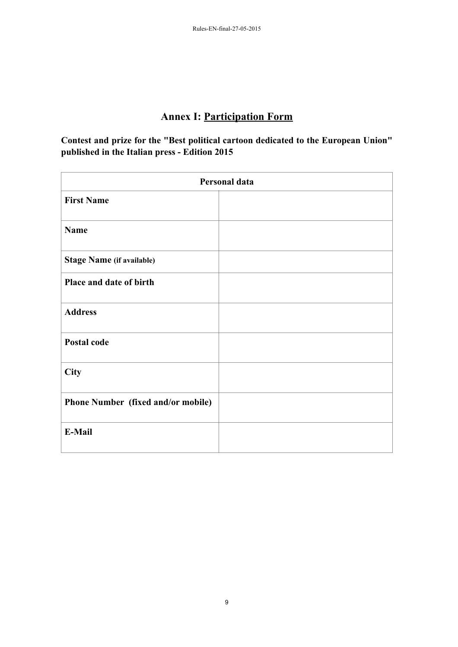# **Annex I: Participation Form**

**Contest and prize for the "Best political cartoon dedicated to the European Union" published in the Italian press - Edition 2015**

| Personal data                      |  |  |
|------------------------------------|--|--|
| <b>First Name</b>                  |  |  |
| Name                               |  |  |
| <b>Stage Name (if available)</b>   |  |  |
| Place and date of birth            |  |  |
| <b>Address</b>                     |  |  |
| <b>Postal code</b>                 |  |  |
| <b>City</b>                        |  |  |
| Phone Number (fixed and/or mobile) |  |  |
| E-Mail                             |  |  |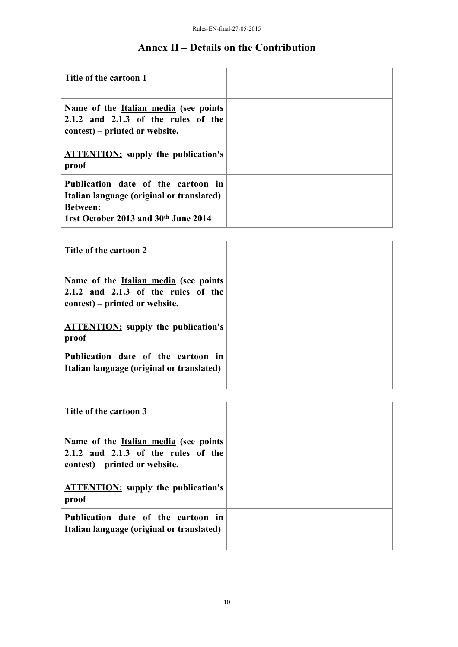# **Annex II – Details on the Contribution**

| Title of the cartoon 1                                                                                                                     |  |
|--------------------------------------------------------------------------------------------------------------------------------------------|--|
| Name of the <u>Italian media</u> (see points<br>$2.1.2$ and $2.1.3$ of the rules of the<br>contest) – printed or website.                  |  |
| <b>ATTENTION:</b> supply the publication's<br>proof                                                                                        |  |
| Publication date of the cartoon in<br>Italian language (original or translated)<br><b>Between:</b><br>1rst October 2013 and 30th June 2014 |  |

| Title of the cartoon 2                                                                                                    |  |
|---------------------------------------------------------------------------------------------------------------------------|--|
| Name of the <u>Italian media</u> (see points<br>$2.1.2$ and $2.1.3$ of the rules of the<br>contest) – printed or website. |  |
| <b>ATTENTION:</b> supply the publication's<br>proof                                                                       |  |
| Publication date of the cartoon in<br>Italian language (original or translated)                                           |  |

| Title of the cartoon 3                                                                                                                                                           |  |
|----------------------------------------------------------------------------------------------------------------------------------------------------------------------------------|--|
| Name of the <u>Italian media</u> (see points<br>$2.1.2$ and $2.1.3$ of the rules of the<br>contest) – printed or website.<br><b>ATTENTION:</b> supply the publication's<br>proof |  |
| Publication date of the cartoon in<br>Italian language (original or translated)                                                                                                  |  |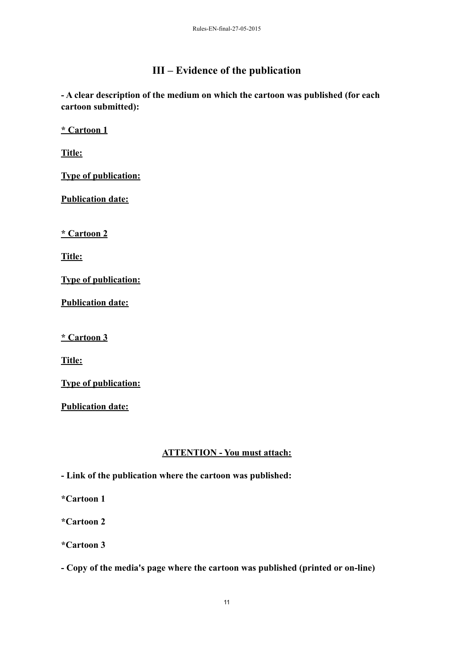## **III – Evidence of the publication**

**- A clear description of the medium on which the cartoon was published (for each cartoon submitted):**

**\* Cartoon 1**

**Title:**

**Type of publication:**

**Publication date:**

**\* Cartoon 2**

**Title:**

**Type of publication:**

**Publication date:**

**\* Cartoon 3**

**Title:**

**Type of publication:**

**Publication date:**

#### **ATTENTION - You must attach:**

**- Link of the publication where the cartoon was published:**

**\*Cartoon 1**

**\*Cartoon 2**

**\*Cartoon 3**

**- Copy of the media's page where the cartoon was published (printed or on-line)**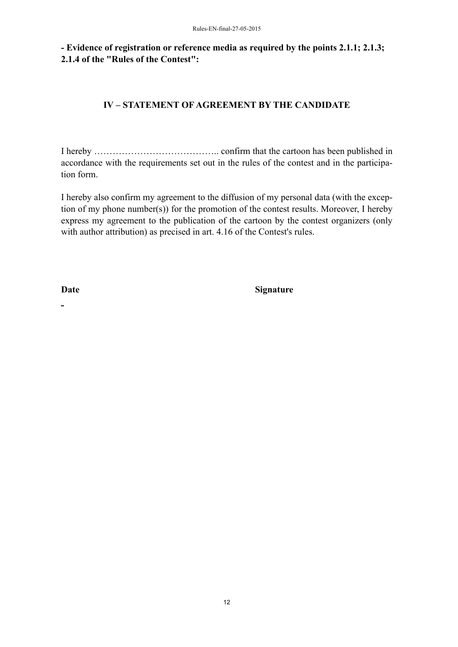**- Evidence of registration or reference media as required by the points 2.1.1; 2.1.3; 2.1.4 of the "Rules of the Contest":**

#### **IV – STATEMENT OF AGREEMENT BY THE CANDIDATE**

I hereby ………………………………….. confirm that the cartoon has been published in accordance with the requirements set out in the rules of the contest and in the participation form.

I hereby also confirm my agreement to the diffusion of my personal data (with the exception of my phone number(s)) for the promotion of the contest results. Moreover, I hereby express my agreement to the publication of the cartoon by the contest organizers (only with author attribution) as precised in art. 4.16 of the Contest's rules.

 $\overline{a}$ 

Date Signature

12